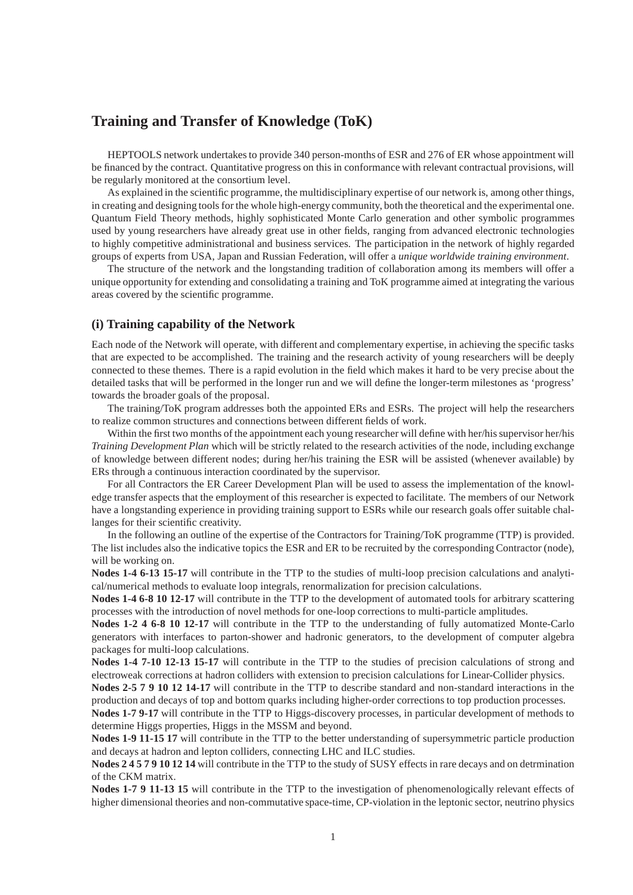# **Training and Transfer of Knowledge (ToK)**

HEPTOOLS network undertakes to provide 340 person-months of ESR and 276 of ER whose appointment will be financed by the contract. Quantitative progress on this in conformance with relevant contractual provisions, will be regularly monitored at the consortium level.

As explained in the scientific programme, the multidisciplinary expertise of our network is, among other things, in creating and designing tools for the whole high-energy community, both the theoretical and the experimental one. Quantum Field Theory methods, highly sophisticated Monte Carlo generation and other symbolic programmes used by young researchers have already great use in other fields, ranging from advanced electronic technologies to highly competitive administrational and business services. The participation in the network of highly regarded groups of experts from USA, Japan and Russian Federation, will offer a *unique worldwide training environment*.

The structure of the network and the longstanding tradition of collaboration among its members will offer a unique opportunity for extending and consolidating a training and ToK programme aimed at integrating the various areas covered by the scientific programme.

## **(i) Training capability of the Network**

Each node of the Network will operate, with different and complementary expertise, in achieving the specific tasks that are expected to be accomplished. The training and the research activity of young researchers will be deeply connected to these themes. There is a rapid evolution in the field which makes it hard to be very precise about the detailed tasks that will be performed in the longer run and we will define the longer-term milestones as 'progress' towards the broader goals of the proposal.

The training/ToK program addresses both the appointed ERs and ESRs. The project will help the researchers to realize common structures and connections between different fields of work.

Within the first two months of the appointment each young researcher will define with her/his supervisor her/his *Training Development Plan* which will be strictly related to the research activities of the node, including exchange of knowledge between different nodes; during her/his training the ESR will be assisted (whenever available) by ERs through a continuous interaction coordinated by the supervisor.

For all Contractors the ER Career Development Plan will be used to assess the implementation of the knowledge transfer aspects that the employment of this researcher is expected to facilitate. The members of our Network have a longstanding experience in providing training support to ESRs while our research goals offer suitable challanges for their scientific creativity.

In the following an outline of the expertise of the Contractors for Training/ToK programme (TTP) is provided. The list includes also the indicative topics the ESR and ER to be recruited by the corresponding Contractor (node), will be working on.

**Nodes 1-4 6-13 15-17** will contribute in the TTP to the studies of multi-loop precision calculations and analytical/numerical methods to evaluate loop integrals, renormalization for precision calculations.

**Nodes 1-4 6-8 10 12-17** will contribute in the TTP to the development of automated tools for arbitrary scattering processes with the introduction of novel methods for one-loop corrections to multi-particle amplitudes.

**Nodes 1-2 4 6-8 10 12-17** will contribute in the TTP to the understanding of fully automatized Monte-Carlo generators with interfaces to parton-shower and hadronic generators, to the development of computer algebra packages for multi-loop calculations.

**Nodes 1-4 7-10 12-13 15-17** will contribute in the TTP to the studies of precision calculations of strong and electroweak corrections at hadron colliders with extension to precision calculations for Linear-Collider physics.

**Nodes 2-5 7 9 10 12 14-17** will contribute in the TTP to describe standard and non-standard interactions in the production and decays of top and bottom quarks including higher-order corrections to top production processes.

**Nodes 1-7 9-17** will contribute in the TTP to Higgs-discovery processes, in particular development of methods to determine Higgs properties, Higgs in the MSSM and beyond.

**Nodes 1-9 11-15 17** will contribute in the TTP to the better understanding of supersymmetric particle production and decays at hadron and lepton colliders, connecting LHC and ILC studies.

**Nodes 2 4 5 7 9 10 12 14** will contribute in the TTP to the study of SUSY effects in rare decays and on detrmination of the CKM matrix.

**Nodes 1-7 9 11-13 15** will contribute in the TTP to the investigation of phenomenologically relevant effects of higher dimensional theories and non-commutative space-time, CP-violation in the leptonic sector, neutrino physics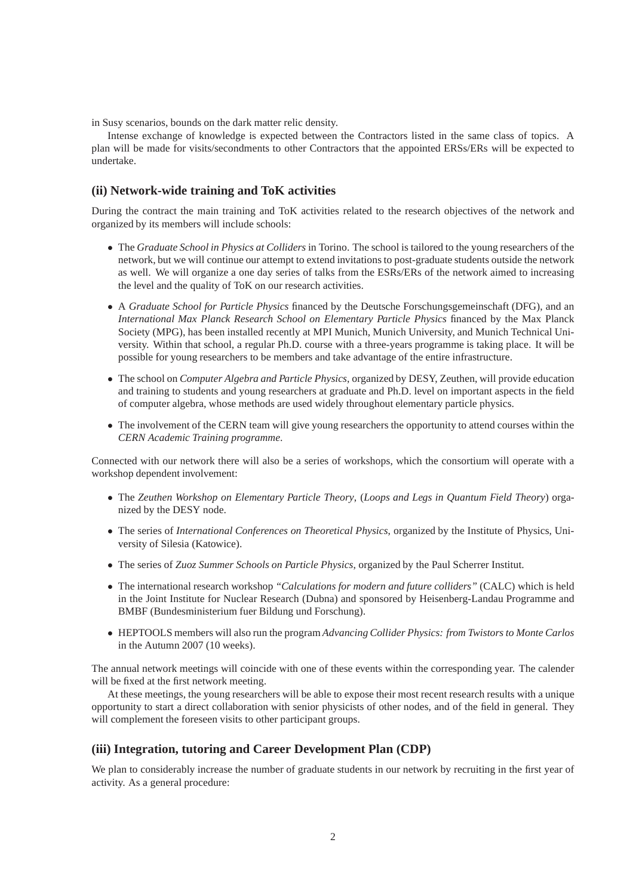in Susy scenarios, bounds on the dark matter relic density.

Intense exchange of knowledge is expected between the Contractors listed in the same class of topics. A plan will be made for visits/secondments to other Contractors that the appointed ERSs/ERs will be expected to undertake.

## **(ii) Network-wide training and ToK activities**

During the contract the main training and ToK activities related to the research objectives of the network and organized by its members will include schools:

- The *Graduate School in Physics at Colliders* in Torino. The school is tailored to the young researchers of the network, but we will continue our attempt to extend invitations to post-graduate students outside the network as well. We will organize a one day series of talks from the ESRs/ERs of the network aimed to increasing the level and the quality of ToK on our research activities.
- A *Graduate School for Particle Physics* financed by the Deutsche Forschungsgemeinschaft (DFG), and an *International Max Planck Research School on Elementary Particle Physics* financed by the Max Planck Society (MPG), has been installed recently at MPI Munich, Munich University, and Munich Technical University. Within that school, a regular Ph.D. course with a three-years programme is taking place. It will be possible for young researchers to be members and take advantage of the entire infrastructure.
- The school on *Computer Algebra and Particle Physics*, organized by DESY, Zeuthen, will provide education and training to students and young researchers at graduate and Ph.D. level on important aspects in the field of computer algebra, whose methods are used widely throughout elementary particle physics.
- The involvement of the CERN team will give young researchers the opportunity to attend courses within the *CERN Academic Training programme*.

Connected with our network there will also be a series of workshops, which the consortium will operate with a workshop dependent involvement:

- The *Zeuthen Workshop on Elementary Particle Theory*, (*Loops and Legs in Quantum Field Theory*) organized by the DESY node.
- The series of *International Conferences on Theoretical Physics*, organized by the Institute of Physics, University of Silesia (Katowice).
- The series of *Zuoz Summer Schools on Particle Physics*, organized by the Paul Scherrer Institut.
- The international research workshop *"Calculations for modern and future colliders"* (CALC) which is held in the Joint Institute for Nuclear Research (Dubna) and sponsored by Heisenberg-Landau Programme and BMBF (Bundesministerium fuer Bildung und Forschung).
- HEPTOOLS members will also run the program *Advancing Collider Physics: from Twistors to Monte Carlos* in the Autumn 2007 (10 weeks).

The annual network meetings will coincide with one of these events within the corresponding year. The calender will be fixed at the first network meeting.

At these meetings, the young researchers will be able to expose their most recent research results with a unique opportunity to start a direct collaboration with senior physicists of other nodes, and of the field in general. They will complement the foreseen visits to other participant groups.

# **(iii) Integration, tutoring and Career Development Plan (CDP)**

We plan to considerably increase the number of graduate students in our network by recruiting in the first year of activity. As a general procedure: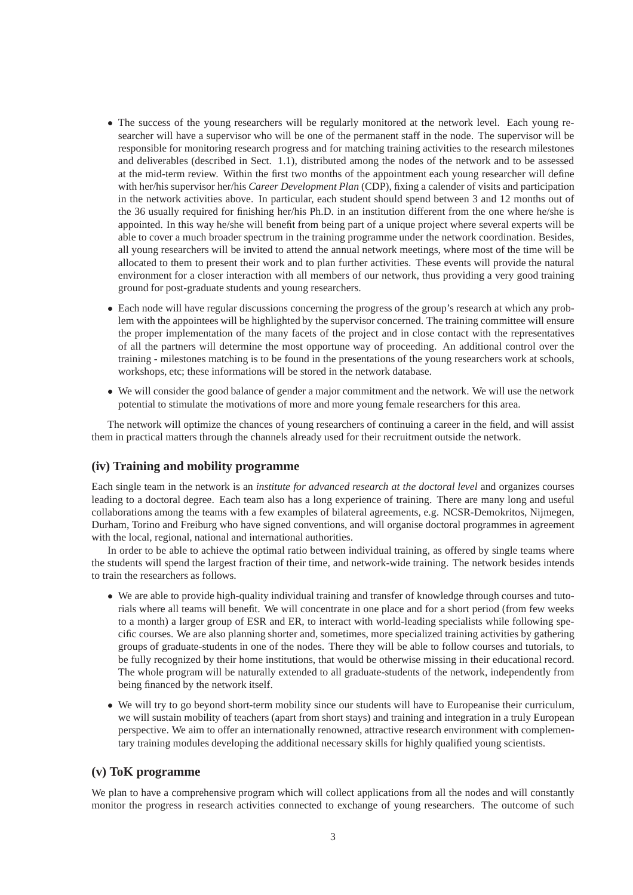- The success of the young researchers will be regularly monitored at the network level. Each young researcher will have a supervisor who will be one of the permanent staff in the node. The supervisor will be responsible for monitoring research progress and for matching training activities to the research milestones and deliverables (described in Sect. 1.1), distributed among the nodes of the network and to be assessed at the mid-term review. Within the first two months of the appointment each young researcher will define with her/his supervisor her/his *Career Development Plan* (CDP), fixing a calender of visits and participation in the network activities above. In particular, each student should spend between 3 and 12 months out of the 36 usually required for finishing her/his Ph.D. in an institution different from the one where he/she is appointed. In this way he/she will benefit from being part of a unique project where several experts will be able to cover a much broader spectrum in the training programme under the network coordination. Besides, all young researchers will be invited to attend the annual network meetings, where most of the time will be allocated to them to present their work and to plan further activities. These events will provide the natural environment for a closer interaction with all members of our network, thus providing a very good training ground for post-graduate students and young researchers.
- Each node will have regular discussions concerning the progress of the group's research at which any problem with the appointees will be highlighted by the supervisor concerned. The training committee will ensure the proper implementation of the many facets of the project and in close contact with the representatives of all the partners will determine the most opportune way of proceeding. An additional control over the training - milestones matching is to be found in the presentations of the young researchers work at schools, workshops, etc; these informations will be stored in the network database.
- We will consider the good balance of gender a major commitment and the network. We will use the network potential to stimulate the motivations of more and more young female researchers for this area.

The network will optimize the chances of young researchers of continuing a career in the field, and will assist them in practical matters through the channels already used for their recruitment outside the network.

## **(iv) Training and mobility programme**

Each single team in the network is an *institute for advanced research at the doctoral level* and organizes courses leading to a doctoral degree. Each team also has a long experience of training. There are many long and useful collaborations among the teams with a few examples of bilateral agreements, e.g. NCSR-Demokritos, Nijmegen, Durham, Torino and Freiburg who have signed conventions, and will organise doctoral programmes in agreement with the local, regional, national and international authorities.

In order to be able to achieve the optimal ratio between individual training, as offered by single teams where the students will spend the largest fraction of their time, and network-wide training. The network besides intends to train the researchers as follows.

- We are able to provide high-quality individual training and transfer of knowledge through courses and tutorials where all teams will benefit. We will concentrate in one place and for a short period (from few weeks to a month) a larger group of ESR and ER, to interact with world-leading specialists while following specific courses. We are also planning shorter and, sometimes, more specialized training activities by gathering groups of graduate-students in one of the nodes. There they will be able to follow courses and tutorials, to be fully recognized by their home institutions, that would be otherwise missing in their educational record. The whole program will be naturally extended to all graduate-students of the network, independently from being financed by the network itself.
- We will try to go beyond short-term mobility since our students will have to Europeanise their curriculum, we will sustain mobility of teachers (apart from short stays) and training and integration in a truly European perspective. We aim to offer an internationally renowned, attractive research environment with complementary training modules developing the additional necessary skills for highly qualified young scientists.

# **(v) ToK programme**

We plan to have a comprehensive program which will collect applications from all the nodes and will constantly monitor the progress in research activities connected to exchange of young researchers. The outcome of such